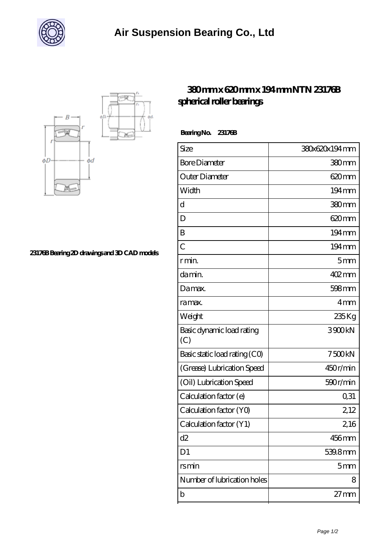



**[23176B Bearing 2D drawings and 3D CAD models](https://whats-up-cupcake.com/pic-21409.html)**

## **[380 mm x 620 mm x 194 mm NTN 23176B](https://whats-up-cupcake.com/au-21409-ntn-23176b-spherical-roller-bearings.html) [spherical roller bearings](https://whats-up-cupcake.com/au-21409-ntn-23176b-spherical-roller-bearings.html)**

 **Bearing No. 23176B**

| Size                             | 380x620x194mm       |
|----------------------------------|---------------------|
| <b>Bore Diameter</b>             | 380mm               |
| Outer Diameter                   | $620 \text{mm}$     |
| Width                            | $194 \,\mathrm{mm}$ |
| d                                | 380mm               |
| D                                | $620 \text{mm}$     |
| B                                | 194mm               |
| $\overline{C}$                   | 194mm               |
| r min.                           | 5 <sub>mm</sub>     |
| da min.                          | $402$ mm            |
| Damax.                           | 598mm               |
| ra max.                          | 4 <sub>mm</sub>     |
| Weight                           | 235 Kg              |
| Basic dynamic load rating<br>(C) | 3900kN              |
| Basic static load rating (CO)    | 7500kN              |
| (Grease) Lubrication Speed       | 450r/min            |
| (Oil) Lubrication Speed          | 590r/min            |
| Calculation factor (e)           | 0,31                |
| Calculation factor (YO)          | 2,12                |
| Calculation factor (Y1)          | 2,16                |
| d2                               | 456mm               |
| D <sub>1</sub>                   | 539.8mm             |
| rsmin                            | 5 <sub>mm</sub>     |
| Number of lubrication holes      | 8                   |
| b                                | $27 \text{mm}$      |